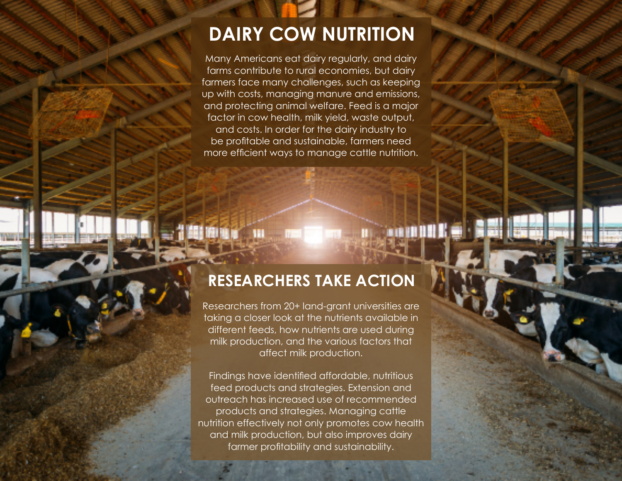## **DAIRY COW NUTRITION**

Many Americans eat dairy regularly, and dairy farms contribute to rural economies, but dairy farmers face many challenges, such as keeping up with costs, managing manure and emissions, and protecting animal welfare. Feed is a major factor in cow health, milk yield, waste output, and costs. In order for the dairy industry to be profitable and sustainable, farmers need more efficient ways to manage cattle nutrition.

## **RESEARCHERS TAKE ACTION**

**ANTIBOR** 

Researchers from 20+ land-grant universities are taking a closer look at the nutrients available in different feeds, how nutrients are used during milk production, and the various factors that affect milk production.

Findings have identified affordable, nutritious feed products and strategies. Extension and outreach has increased use of recommended products and strategies. Managing cattle nutrition effectively not only promotes cow health and milk production, but also improves dairy farmer profitability and sustainability.